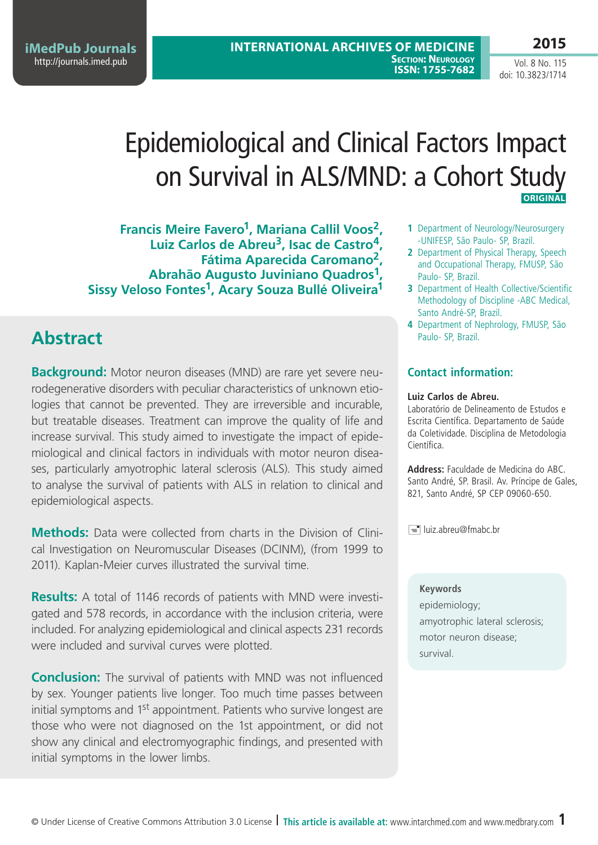**International Archives of Medicine Section: Neurology ISSN: 1755-7682** 

Vol. 8 No. 115 doi: 10.3823/1714

**2015**

# Epidemiological and Clinical Factors Impact on Survival in ALS/MND: a Cohort Study **Original**

**Francis Meire Favero1, Mariana Callil Voos2, Luiz Carlos de Abreu3, Isac de Castro4, Fátima Aparecida Caromano2, Abrahão Augusto Juviniano Quadros1, Sissy Veloso Fontes1, Acary Souza Bullé Oliveira1**

## **Abstract**

**Background:** Motor neuron diseases (MND) are rare yet severe neurodegenerative disorders with peculiar characteristics of unknown etiologies that cannot be prevented. They are irreversible and incurable, but treatable diseases. Treatment can improve the quality of life and increase survival. This study aimed to investigate the impact of epidemiological and clinical factors in individuals with motor neuron diseases, particularly amyotrophic lateral sclerosis (ALS). This study aimed to analyse the survival of patients with ALS in relation to clinical and epidemiological aspects.

**Methods:** Data were collected from charts in the Division of Clinical Investigation on Neuromuscular Diseases (DCINM), (from 1999 to 2011). Kaplan-Meier curves illustrated the survival time.

**Results:** A total of 1146 records of patients with MND were investigated and 578 records, in accordance with the inclusion criteria, were included. For analyzing epidemiological and clinical aspects 231 records were included and survival curves were plotted.

**Conclusion:** The survival of patients with MND was not influenced by sex. Younger patients live longer. Too much time passes between initial symptoms and 1<sup>st</sup> appointment. Patients who survive longest are those who were not diagnosed on the 1st appointment, or did not show any clinical and electromyographic findings, and presented with initial symptoms in the lower limbs.

- **1** Department of Neurology/Neurosurgery -UNIFESP, São Paulo- SP, Brazil.
- **2** Department of Physical Therapy, Speech and Occupational Therapy, FMUSP, São Paulo- SP, Brazil.
- **3** Department of Health Collective/Scientific Methodology of Discipline -ABC Medical, Santo André-SP, Brazil.
- **4** Department of Nephrology, FMUSP, São Paulo- SP, Brazil.

### **Contact information:**

### **Luiz Carlos de Abreu.**

Laboratório de Delineamento de Estudos e Escrita Científica. Departamento de Saúde da Coletividade. Disciplina de Metodologia Científica.

**Address:** Faculdade de Medicina do ABC. Santo André, SP. Brasil. Av. Príncipe de Gales, 821, Santo André, SP CEP 09060-650.

 $\equiv$  luiz.abreu@fmabc.br

### **Keywords**

epidemiology; amyotrophic lateral sclerosis; motor neuron disease; survival.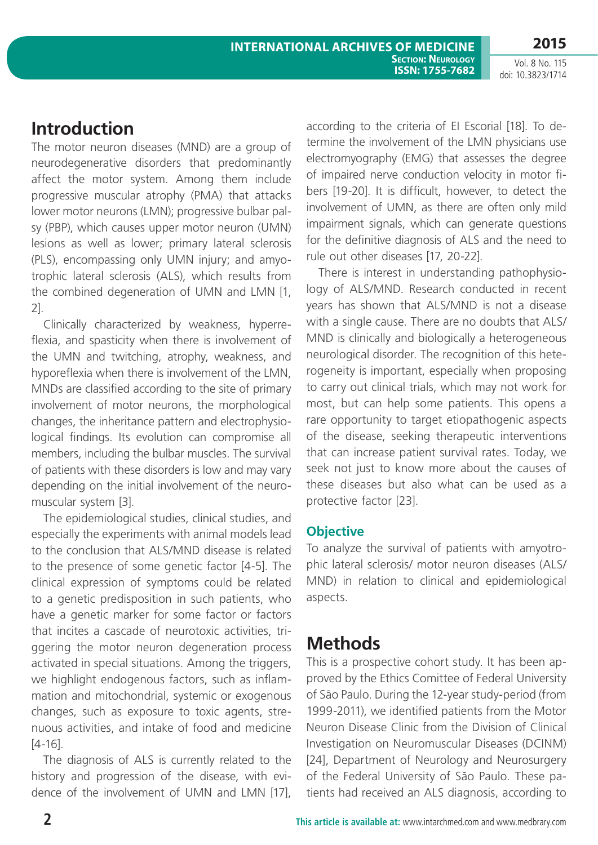## **Introduction**

The motor neuron diseases (MND) are a group of neurodegenerative disorders that predominantly affect the motor system. Among them include progressive muscular atrophy (PMA) that attacks lower motor neurons (LMN); progressive bulbar palsy (PBP), which causes upper motor neuron (UMN) lesions as well as lower; primary lateral sclerosis (PLS), encompassing only UMN injury; and amyotrophic lateral sclerosis (ALS), which results from the combined degeneration of UMN and LMN [1, 2].

Clinically characterized by weakness, hyperreflexia, and spasticity when there is involvement of the UMN and twitching, atrophy, weakness, and hyporeflexia when there is involvement of the LMN, MNDs are classified according to the site of primary involvement of motor neurons, the morphological changes, the inheritance pattern and electrophysiological findings. Its evolution can compromise all members, including the bulbar muscles. The survival of patients with these disorders is low and may vary depending on the initial involvement of the neuromuscular system [3].

The epidemiological studies, clinical studies, and especially the experiments with animal models lead to the conclusion that ALS/MND disease is related to the presence of some genetic factor [4-5]. The clinical expression of symptoms could be related to a genetic predisposition in such patients, who have a genetic marker for some factor or factors that incites a cascade of neurotoxic activities, triggering the motor neuron degeneration process activated in special situations. Among the triggers, we highlight endogenous factors, such as inflammation and mitochondrial, systemic or exogenous changes, such as exposure to toxic agents, strenuous activities, and intake of food and medicine [4-16].

The diagnosis of ALS is currently related to the history and progression of the disease, with evidence of the involvement of UMN and LMN [17], according to the criteria of EI Escorial [18]. To determine the involvement of the LMN physicians use electromyography (EMG) that assesses the degree of impaired nerve conduction velocity in motor fibers [19-20]. It is difficult, however, to detect the involvement of UMN, as there are often only mild impairment signals, which can generate questions for the definitive diagnosis of ALS and the need to rule out other diseases [17, 20-22].

There is interest in understanding pathophysiology of ALS/MND. Research conducted in recent years has shown that ALS/MND is not a disease with a single cause. There are no doubts that ALS/ MND is clinically and biologically a heterogeneous neurological disorder. The recognition of this heterogeneity is important, especially when proposing to carry out clinical trials, which may not work for most, but can help some patients. This opens a rare opportunity to target etiopathogenic aspects of the disease, seeking therapeutic interventions that can increase patient survival rates. Today, we seek not just to know more about the causes of these diseases but also what can be used as a protective factor [23].

### **Objective**

To analyze the survival of patients with amyotrophic lateral sclerosis/ motor neuron diseases (ALS/ MND) in relation to clinical and epidemiological aspects.

## **Methods**

This is a prospective cohort study. It has been approved by the Ethics Comittee of Federal University of São Paulo. During the 12-year study-period (from 1999-2011), we identified patients from the Motor Neuron Disease Clinic from the Division of Clinical Investigation on Neuromuscular Diseases (DCINM) [24], Department of Neurology and Neurosurgery of the Federal University of São Paulo. These patients had received an ALS diagnosis, according to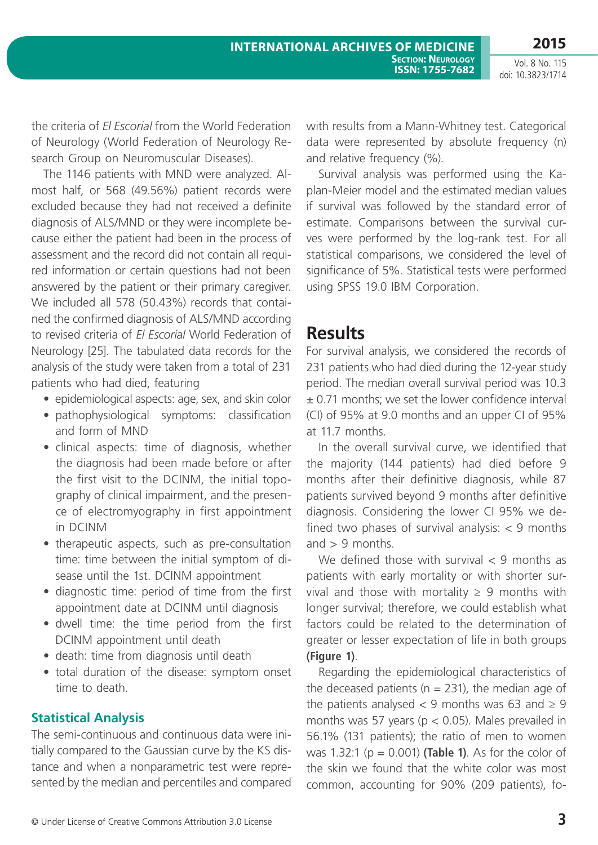the criteria of *El Escorial* from the World Federation of Neurology (World Federation of Neurology Research Group on Neuromuscular Diseases).

The 1146 patients with MND were analyzed. Almost half, or 568 (49.56%) patient records were excluded because they had not received a definite diagnosis of ALS/MND or they were incomplete because either the patient had been in the process of assessment and the record did not contain all required information or certain questions had not been answered by the patient or their primary caregiver. We included all 578 (50.43%) records that contained the confirmed diagnosis of ALS/MND according to revised criteria of *El Escorial* World Federation of Neurology [25]. The tabulated data records for the analysis of the study were taken from a total of 231 patients who had died, featuring

- epidemiological aspects: age, sex, and skin color
- pathophysiological symptoms: classification and form of MND
- clinical aspects: time of diagnosis, whether the diagnosis had been made before or after the first visit to the DCINM, the initial topography of clinical impairment, and the presence of electromyography in first appointment in DCINM
- therapeutic aspects, such as pre-consultation time: time between the initial symptom of disease until the 1st. DCINM appointment
- diagnostic time: period of time from the first appointment date at DCINM until diagnosis
- dwell time: the time period from the first DCINM appointment until death
- death: time from diagnosis until death
- total duration of the disease: symptom onset time to death

### **Statistical Analysis**

The semi-continuous and continuous data were initially compared to the Gaussian curve by the KS distance and when a nonparametric test were represented by the median and percentiles and compared with results from a Mann-Whitney test. Categorical data were represented by absolute frequency (n) and relative frequency (%).

**Section: Neurology ISSN: 1755-7682** 

Survival analysis was performed using the Kaplan-Meier model and the estimated median values if survival was followed by the standard error of estimate. Comparisons between the survival curves were performed by the log-rank test. For all statistical comparisons, we considered the level of significance of 5%. Statistical tests were performed using SPSS 19.0 IBM Corporation.

### **Results**

**International Archives of Medicine**

For survival analysis, we considered the records of 231 patients who had died during the 12-year study period. The median overall survival period was 10.3 ± 0.71 months; we set the lower confidence interval (CI) of 95% at 9.0 months and an upper CI of 95% at 11.7 months.

In the overall survival curve, we identified that the majority (144 patients) had died before 9 months after their definitive diagnosis, while 87 patients survived beyond 9 months after definitive diagnosis. Considering the lower CI 95% we defined two phases of survival analysis:  $<$  9 months and  $> 9$  months.

We defined those with survival  $<$  9 months as patients with early mortality or with shorter survival and those with mortality  $\geq 9$  months with longer survival; therefore, we could establish what factors could be related to the determination of greater or lesser expectation of life in both groups **(Figure 1)**.

Regarding the epidemiological characteristics of the deceased patients ( $n = 231$ ), the median age of the patients analysed < 9 months was 63 and  $\geq$  9 months was 57 years ( $p < 0.05$ ). Males prevailed in 56.1% (131 patients); the ratio of men to women was 1.32:1 (p = 0.001) **(Table 1)**. As for the color of the skin we found that the white color was most common, accounting for 90% (209 patients), fo-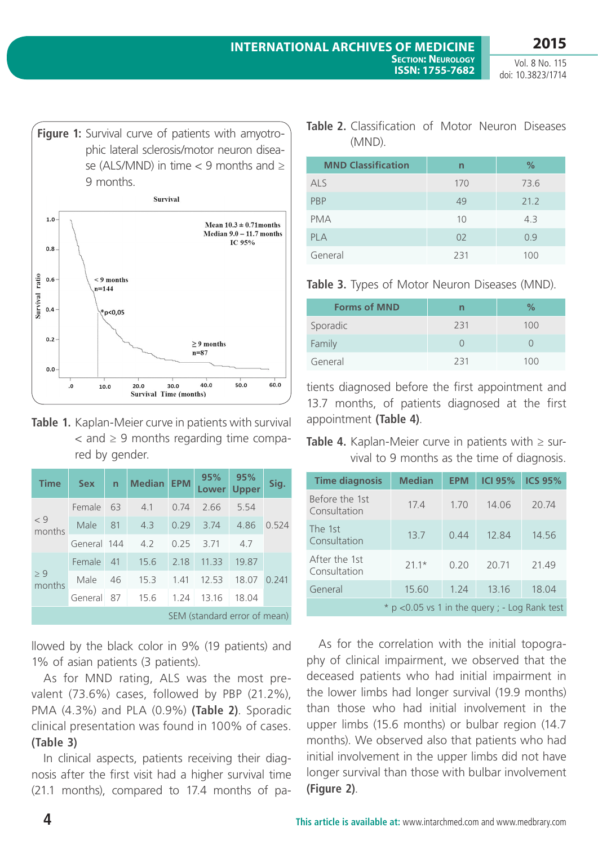

|  | Table 1. Kaplan-Meier curve in patients with survival |  |  |  |  |  |
|--|-------------------------------------------------------|--|--|--|--|--|
|  | $\epsilon$ and $\geq$ 9 months regarding time compa-  |  |  |  |  |  |
|  | red by gender.                                        |  |  |  |  |  |

30.0 Survival Time (months)

 $\cdot$ 

 $10.0$ 

20.0

| <b>Time</b>                  | <b>Sex</b>  | $\mathsf{n}$ | <b>Median</b> | <b>EPM</b> | 95%<br>Lower | 95%<br><b>Upper</b> | Sig.  |  |
|------------------------------|-------------|--------------|---------------|------------|--------------|---------------------|-------|--|
|                              | Female      | 63           | 4.1           | 0.74       | 2.66         | 5.54                | 0.524 |  |
| < 9<br>months                | Male        | 81           | 43            | 0.29       | 3.74         | 4.86                |       |  |
|                              | General 144 |              | 4.2           | 0.25       | 3.71         | 4.7                 |       |  |
| > 9<br>months                | Female      | 41           | 15.6          | 2.18       | 11.33        | 19.87               | 0.241 |  |
|                              | Male        | 46           | 15.3          | 1.41       | 12.53        | 18.07               |       |  |
|                              | General     | 87           | 15.6          | 1.24       | 13.16        | 18.04               |       |  |
| SEM (standard error of mean) |             |              |               |            |              |                     |       |  |

llowed by the black color in 9% (19 patients) and 1% of asian patients (3 patients).

As for MND rating, ALS was the most prevalent (73.6%) cases, followed by PBP (21.2%), PMA (4.3%) and PLA (0.9%) **(Table 2)**. Sporadic clinical presentation was found in 100% of cases. **(Table 3)**

In clinical aspects, patients receiving their diagnosis after the first visit had a higher survival time (21.1 months), compared to 17.4 months of pa-

| Table 2. Classification of Motor Neuron Diseases |  |  |
|--------------------------------------------------|--|--|
| (MND).                                           |  |  |

| <b>MND Classification</b> | n   | $\%$ |
|---------------------------|-----|------|
| <b>ALS</b>                | 170 | 73.6 |
| PBP                       | 49  | 21.2 |
| <b>PMA</b>                | 10  | 4.3  |
| <b>PLA</b>                | 02  | 0.9  |
| General                   | 231 | 100  |

**Table 3.** Types of Motor Neuron Diseases (MND).

| <b>Forms of MND</b> | n   | %   |
|---------------------|-----|-----|
| Sporadic            | 231 | 100 |
| Family              |     |     |
| General             | 231 | 100 |

tients diagnosed before the first appointment and 13.7 months, of patients diagnosed at the first appointment **(Table 4)**.

**Table 4.** Kaplan-Meier curve in patients with ≥ survival to 9 months as the time of diagnosis.

| <b>Time diagnosis</b>                           | <b>Median</b> | <b>EPM</b> | <b>ICI 95%</b> | <b>ICS 95%</b> |  |
|-------------------------------------------------|---------------|------------|----------------|----------------|--|
| Before the 1st<br>Consultation                  | 17.4          | 1.70       | 14.06          | 20.74          |  |
| The 1st<br>Consultation                         | 13.7          | 0.44       | 12.84          | 14.56          |  |
| After the 1st<br>Consultation                   | $21.1*$       | 0.20       | 20.71          | 21.49          |  |
| General                                         | 15.60         | 1.24       | 13.16          | 18.04          |  |
| $*$ p <0.05 vs 1 in the query ; - Log Rank test |               |            |                |                |  |

As for the correlation with the initial topography of clinical impairment, we observed that the deceased patients who had initial impairment in the lower limbs had longer survival (19.9 months) than those who had initial involvement in the upper limbs (15.6 months) or bulbar region (14.7 months). We observed also that patients who had initial involvement in the upper limbs did not have longer survival than those with bulbar involvement **(Figure 2)**.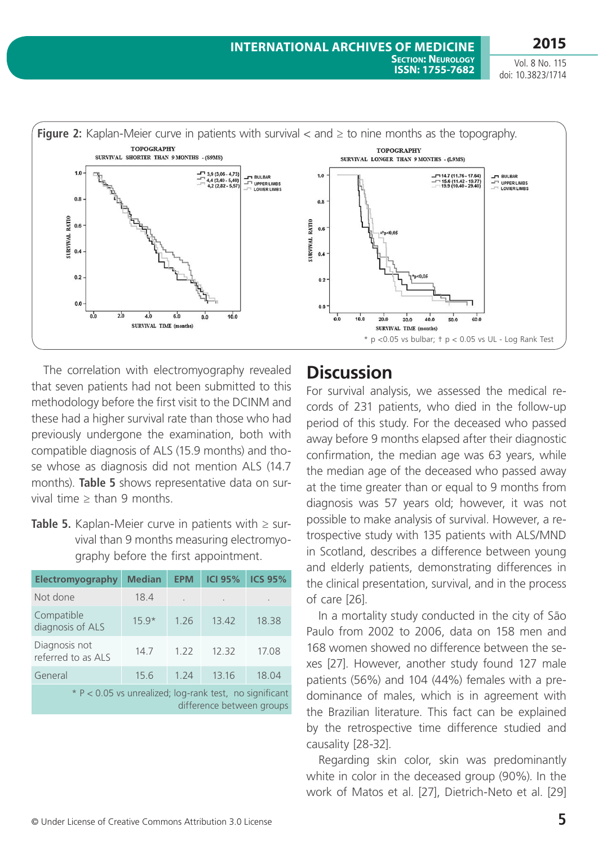

The correlation with electromyography revealed that seven patients had not been submitted to this methodology before the first visit to the DCINM and these had a higher survival rate than those who had previously undergone the examination, both with compatible diagnosis of ALS (15.9 months) and those whose as diagnosis did not mention ALS (14.7 months). **Table 5** shows representative data on survival time  $\ge$  than 9 months.

**Table 5.** Kaplan-Meier curve in patients with ≥ survival than 9 months measuring electromyography before the first appointment.

| Electromyography                                                                     | <b>Median</b> | <b>EPM</b> | <b>ICI 95%</b>       | <b>ICS 95%</b> |
|--------------------------------------------------------------------------------------|---------------|------------|----------------------|----------------|
| Not done                                                                             | 18.4          |            | $\ddot{\phantom{a}}$ |                |
| Compatible<br>diagnosis of ALS                                                       | $15.9*$       | 1.26       | 13.42                | 18.38          |
| Diagnosis not<br>referred to as ALS                                                  | 14.7          | 1.22       | 12.32                | 17.08          |
| General                                                                              | 15.6          | 1.24       | 13.16                | 18.04          |
| * P < 0.05 vs unrealized; log-rank test, no significant<br>difference between groups |               |            |                      |                |

## **Discussion**

For survival analysis, we assessed the medical records of 231 patients, who died in the follow-up period of this study. For the deceased who passed away before 9 months elapsed after their diagnostic confirmation, the median age was 63 years, while the median age of the deceased who passed away at the time greater than or equal to 9 months from diagnosis was 57 years old; however, it was not possible to make analysis of survival. However, a retrospective study with 135 patients with ALS/MND in Scotland, describes a difference between young and elderly patients, demonstrating differences in the clinical presentation, survival, and in the process of care [26].

In a mortality study conducted in the city of São Paulo from 2002 to 2006, data on 158 men and 168 women showed no difference between the sexes [27]. However, another study found 127 male patients (56%) and 104 (44%) females with a predominance of males, which is in agreement with the Brazilian literature. This fact can be explained by the retrospective time difference studied and causality [28-32].

Regarding skin color, skin was predominantly white in color in the deceased group (90%). In the work of Matos et al. [27], Dietrich-Neto et al. [29]

Vol. 8 No. 115 doi: 10.3823/1714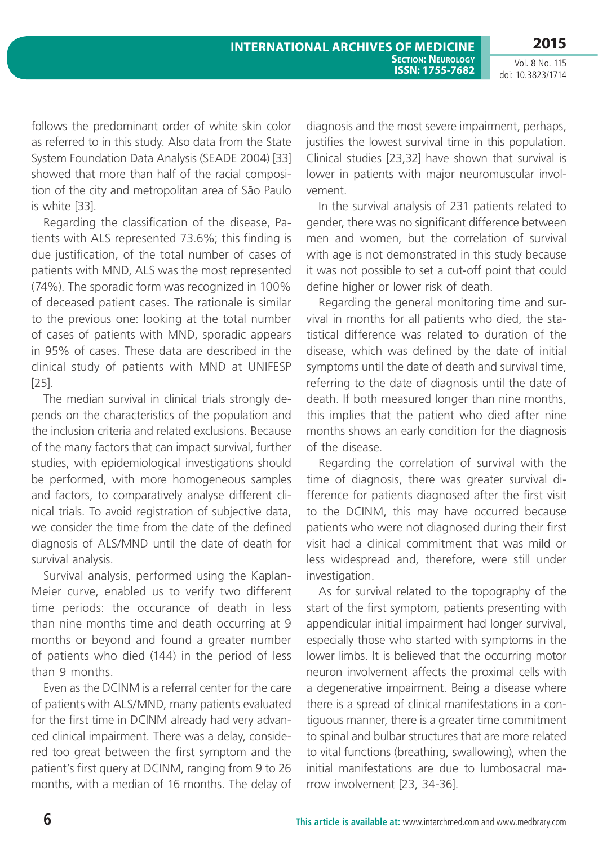**ISSN: 1755-7682** 

Vol. 8 No. 115 doi: 10.3823/1714

**2015**

follows the predominant order of white skin color as referred to in this study. Also data from the State System Foundation Data Analysis (SEADE 2004) [33] showed that more than half of the racial composition of the city and metropolitan area of São Paulo is white [33].

Regarding the classification of the disease, Patients with ALS represented 73.6%; this finding is due justification, of the total number of cases of patients with MND, ALS was the most represented (74%). The sporadic form was recognized in 100% of deceased patient cases. The rationale is similar to the previous one: looking at the total number of cases of patients with MND, sporadic appears in 95% of cases. These data are described in the clinical study of patients with MND at UNIFESP [25].

The median survival in clinical trials strongly depends on the characteristics of the population and the inclusion criteria and related exclusions. Because of the many factors that can impact survival, further studies, with epidemiological investigations should be performed, with more homogeneous samples and factors, to comparatively analyse different clinical trials. To avoid registration of subjective data, we consider the time from the date of the defined diagnosis of ALS/MND until the date of death for survival analysis.

Survival analysis, performed using the Kaplan-Meier curve, enabled us to verify two different time periods: the occurance of death in less than nine months time and death occurring at 9 months or beyond and found a greater number of patients who died (144) in the period of less than 9 months.

Even as the DCINM is a referral center for the care of patients with ALS/MND, many patients evaluated for the first time in DCINM already had very advanced clinical impairment. There was a delay, considered too great between the first symptom and the patient's first query at DCINM, ranging from 9 to 26 months, with a median of 16 months. The delay of diagnosis and the most severe impairment, perhaps, justifies the lowest survival time in this population. Clinical studies [23,32] have shown that survival is lower in patients with major neuromuscular involvement.

In the survival analysis of 231 patients related to gender, there was no significant difference between men and women, but the correlation of survival with age is not demonstrated in this study because it was not possible to set a cut-off point that could define higher or lower risk of death.

Regarding the general monitoring time and survival in months for all patients who died, the statistical difference was related to duration of the disease, which was defined by the date of initial symptoms until the date of death and survival time, referring to the date of diagnosis until the date of death. If both measured longer than nine months, this implies that the patient who died after nine months shows an early condition for the diagnosis of the disease.

Regarding the correlation of survival with the time of diagnosis, there was greater survival difference for patients diagnosed after the first visit to the DCINM, this may have occurred because patients who were not diagnosed during their first visit had a clinical commitment that was mild or less widespread and, therefore, were still under investigation.

As for survival related to the topography of the start of the first symptom, patients presenting with appendicular initial impairment had longer survival, especially those who started with symptoms in the lower limbs. It is believed that the occurring motor neuron involvement affects the proximal cells with a degenerative impairment. Being a disease where there is a spread of clinical manifestations in a contiguous manner, there is a greater time commitment to spinal and bulbar structures that are more related to vital functions (breathing, swallowing), when the initial manifestations are due to lumbosacral marrow involvement [23, 34-36].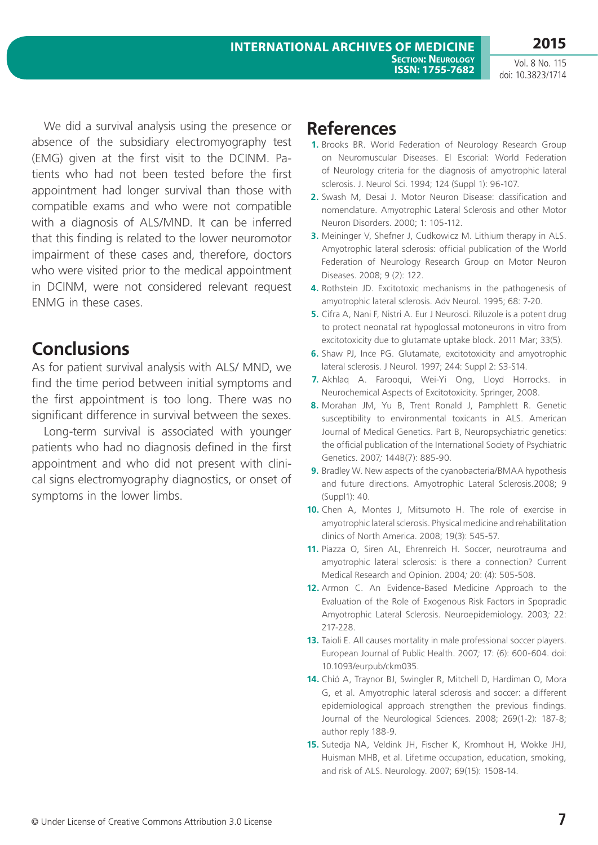**2015**

We did a survival analysis using the presence or absence of the subsidiary electromyography test (EMG) given at the first visit to the DCINM. Patients who had not been tested before the first appointment had longer survival than those with compatible exams and who were not compatible with a diagnosis of ALS/MND. It can be inferred that this finding is related to the lower neuromotor impairment of these cases and, therefore, doctors who were visited prior to the medical appointment in DCINM, were not considered relevant request ENMG in these cases.

## **Conclusions**

As for patient survival analysis with ALS/ MND, we find the time period between initial symptoms and the first appointment is too long. There was no significant difference in survival between the sexes.

Long-term survival is associated with younger patients who had no diagnosis defined in the first appointment and who did not present with clinical signs electromyography diagnostics, or onset of symptoms in the lower limbs.

## **References**

- **1.** Brooks BR. World Federation of Neurology Research Group on Neuromuscular Diseases. El Escorial: World Federation of Neurology criteria for the diagnosis of amyotrophic lateral sclerosis. J. Neurol Sci. 1994; 124 (Suppl 1): 96-107.
- **2.** Swash M, Desai J. Motor Neuron Disease: classification and nomenclature. Amyotrophic Lateral Sclerosis and other Motor Neuron Disorders. 2000; 1: 105-112.
- **3.** Meininger V, Shefner J, Cudkowicz M. Lithium therapy in ALS. Amyotrophic lateral sclerosis: official publication of the World Federation of Neurology Research Group on Motor Neuron Diseases. 2008; 9 (2): 122.
- **4.** Rothstein JD. Excitotoxic mechanisms in the pathogenesis of amyotrophic lateral sclerosis. Adv Neurol. 1995; 68: 7-20.
- **5.** Cifra A, Nani F, Nistri A. Eur J Neurosci. Riluzole is a potent drug to protect neonatal rat hypoglossal motoneurons in vitro from excitotoxicity due to glutamate uptake block. 2011 Mar; 33(5).
- **6.** Shaw PJ, Ince PG. Glutamate, excitotoxicity and amyotrophic lateral sclerosis. J Neurol. 1997; 244: Suppl 2: S3-S14.
- **7.** Akhlaq A. Farooqui, Wei-Yi Ong, Lloyd Horrocks. in Neurochemical Aspects of Excitotoxicity. Springer, 2008.
- **8.** Morahan JM, Yu B, Trent Ronald J, Pamphlett R. Genetic susceptibility to environmental toxicants in ALS. American Journal of Medical Genetics. Part B, Neuropsychiatric genetics: the official publication of the International Society of Psychiatric Genetics. 2007*;* 144B(7): 885-90.
- **9.** Bradley W. New aspects of the cyanobacteria/BMAA hypothesis and future directions. Amyotrophic Lateral Sclerosis.2008; 9 (Suppl1): 40.
- **10.** Chen A, Montes J, Mitsumoto H. The role of exercise in amyotrophic lateral sclerosis. Physical medicine and rehabilitation clinics of North America. 2008; 19(3): 545-57.
- **11.** Piazza O, Siren AL, Ehrenreich H. Soccer, neurotrauma and amyotrophic lateral sclerosis: is there a connection? Current Medical Research and Opinion. 2004*;* 20: (4): 505-508.
- **12.** Armon C. An Evidence-Based Medicine Approach to the Evaluation of the Role of Exogenous Risk Factors in Spopradic Amyotrophic Lateral Sclerosis. Neuroepidemiology. 2003*;* 22: 217-228.
- **13.** Taioli E. All causes mortality in male professional soccer players. European Journal of Public Health. 2007*;* 17: (6): 600-604. doi: 10.1093/eurpub/ckm035.
- **14.** Chió A, Traynor BJ, Swingler R, Mitchell D, Hardiman O, Mora G, et al. Amyotrophic lateral sclerosis and soccer: a different epidemiological approach strengthen the previous findings. Journal of the Neurological Sciences. 2008; 269(1-2): 187-8; author reply 188-9.
- **15.** Sutedja NA, Veldink JH, Fischer K, Kromhout H, Wokke JHJ, Huisman MHB, et al. Lifetime occupation, education, smoking, and risk of ALS. Neurology. 2007; 69(15): 1508-14.